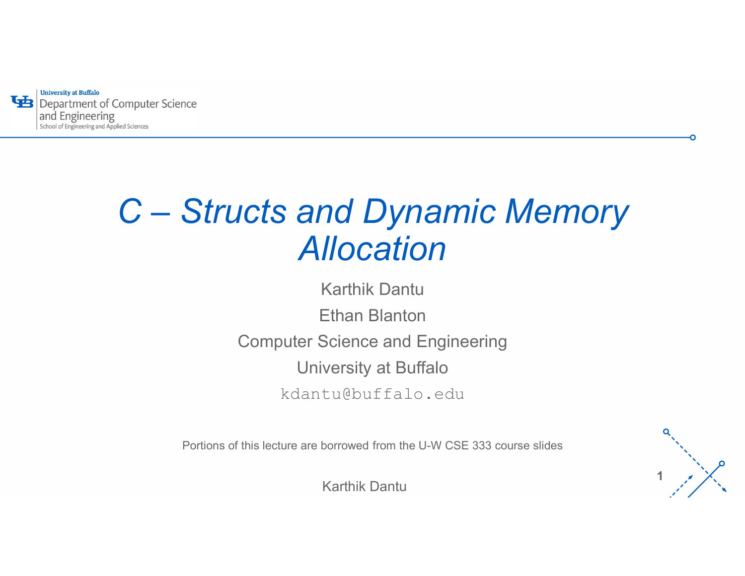**University at Buffalo** 43 and Engineering

# $C- Structures\ and\ Dynamic\ Memory\ Allocation$ Allocation

Karthik Dantu Ethan Blanton Computer Science and Engineering University at Buffalo kdantu@buffalo.edu

Portions of this lecture are borrowed from the U-W CSE 333 course slides

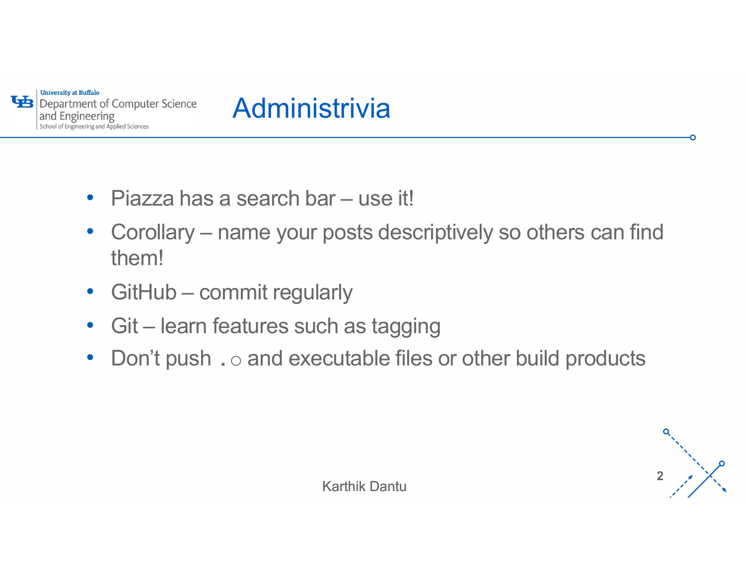



- 
- Piazza has a search bar use it! • Corollary – name your posts descriptively so others can find them! • GitHub – commit regularly • Git – learn features such as tagging
- 
- 
- Don't push  $\cdot \circ$  and executable files or other build products

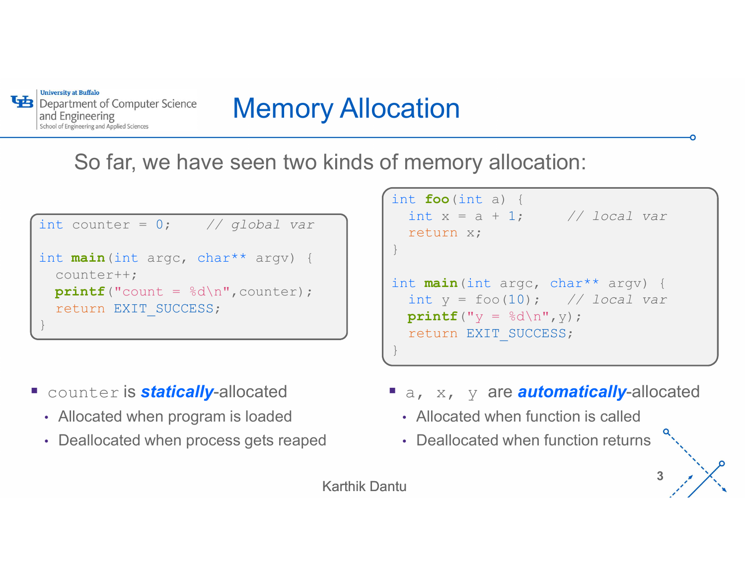

# Memory Allocation

So far, we have seen two kinds of memory allocation:

```
int counter = 0; // global var
int main(int argc, char** argv) {
  counter++;
 printf("count = <math>\frac{d}{n}</math>, counter);return EXIT_SUCCESS;
}
```
- **Counter is statically-allocated** 
	- Allocated when program is loaded
	- Deallocated when process gets reaped

```
int \text{main} (int argc, char** argv) {
int foo(int a) {
 int x = a + 1; // local var
 return x;
}
 int y = foo(10); // local var
 printf("y = \frac{1}{6}d\ln", y);
 return EXIT_SUCCESS;
}
```
a, x, y are **automatically**-allocated

 $3 \frac{1}{2}$ 

- Allocated when function is called
- Deallocated when function returns

```
Karthik Dantu
```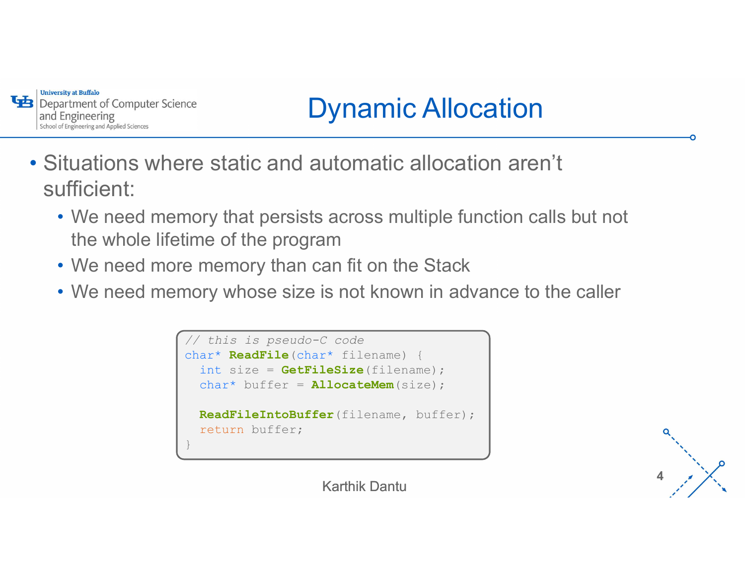

# Dynamic Allocation

- Situations where static and automatic allocation aren't sufficient:
	- We need memory that persists across multiple function calls but not the whole lifetime of the program
	- We need more memory than can fit on the Stack
	- '- We need memory whose size is not known in advance to the caller



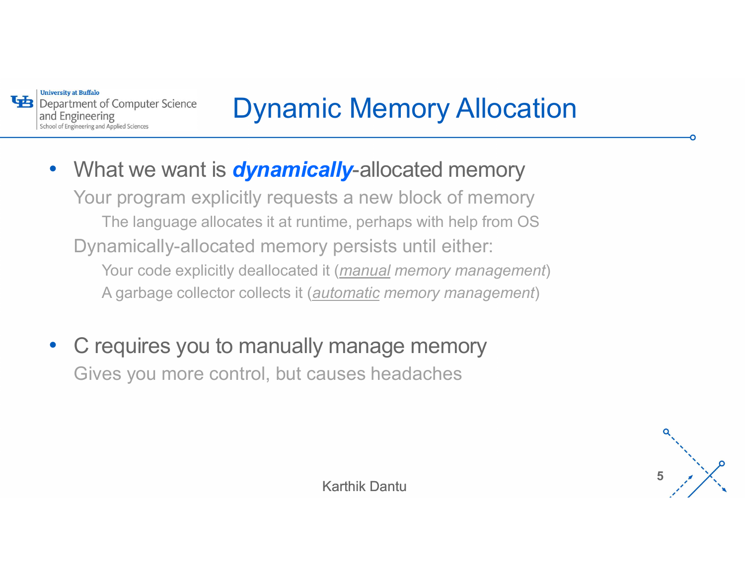**University at Buffalo** 

# Dynamic Memory Allocation

- A garbage collector collects it (automatic memory management) • What we want is **dynamically-allocated memory** Your program explicitly requests a new block of memory The language allocates it at runtime, perhaps with help from OS Dynamically-allocated memory persists until either: For Computer Science<br>
The Computer Science<br>
That we want is **dynamically-**allocated memory<br>
Ir program explicitly requests a new block of memory<br>
The language allocates it at runtime, perhaps with help from OS<br>
The languag A garbuter Science<br>
A garbage collector **Cynamically-allocated memory**<br>
A garbage allocates it at runtime, perhaps with help from OS<br>
A garbage collector collects it (automatic memory management)<br>
A garbage collector colle
- C requires you to manually manage memory Gives you more control, but causes headaches

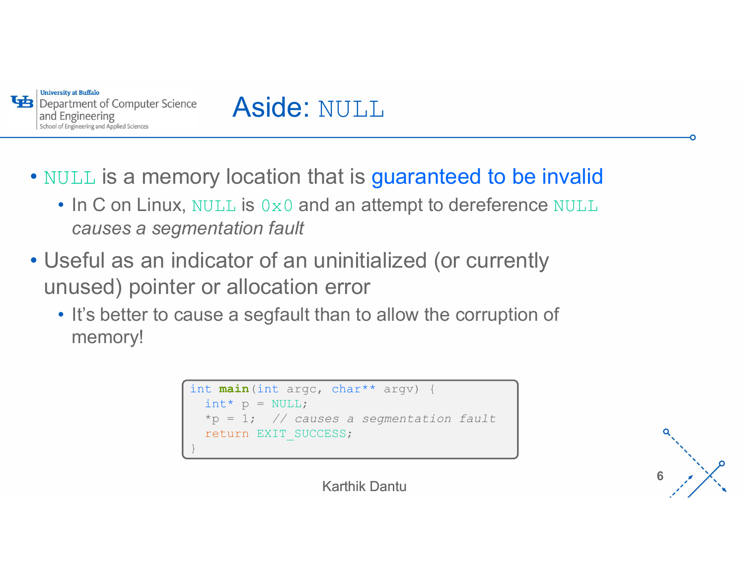

## Aside: NULL

• NULL is a memory location that is guaranteed to be invalid

- In C on Linux, NULL is  $0\times 0$  and an attempt to dereference NULL causes a segmentation fault
- Useful as an indicator of an uninitialized (or currently unused) pointer or allocation error • It's better to cause a segfault than to allow the corruption of
	- memory!

```
int main(int argc, char** argv) {
  int^* p = NULL;*_p = 1; // causes a segmentation fault
  return EXIT_SUCCESS;
}
```
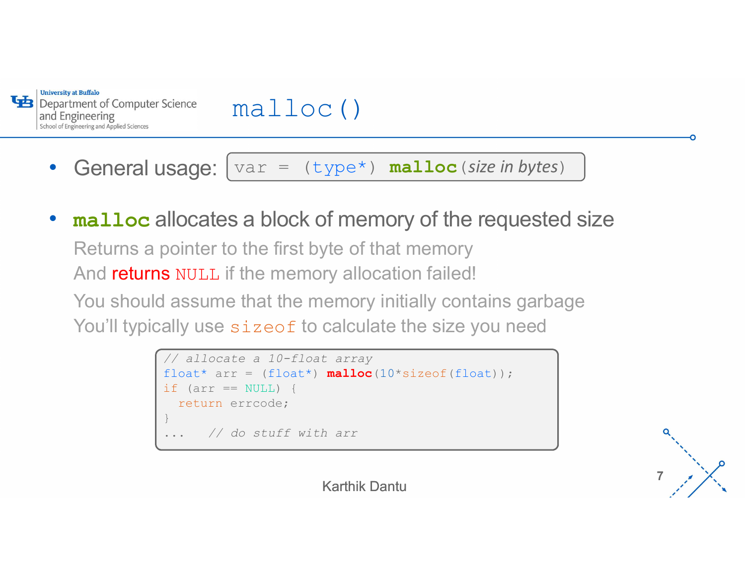

malloc()

- General usage:  $|var = (type*)$  malloc (size in bytes)
- ' malloc allocates a block of memory of the requested size Returns a pointer to the first byte of that memory And returns NULL if the memory allocation failed! You should assume that the memory initially contains garbage You'll typically use sizeof to calculate the size you need **is and the sum of the model of the sum of the sum of the requested size**<br>
bointer to the first byte of that memory<br> **s** NULL if the memory allocation failed!<br>
I assume that the memory initially contains garbage<br>
ally use **is and the set of the control of the set of the set of the set of the set of the first byte of that memory s<br>
s NULL if the memory allocation failed!<br>
I assume that the memory initially contains gally use size<br>
of to cal** malloc ()<br>
var = (type\*) malloc(size in bytes)<br>
s a block of memory of the requested s<br>
b the first byte of that memory

```
// allocate a 10-float array
 return errcode;
}
    // do stuff with arr
```
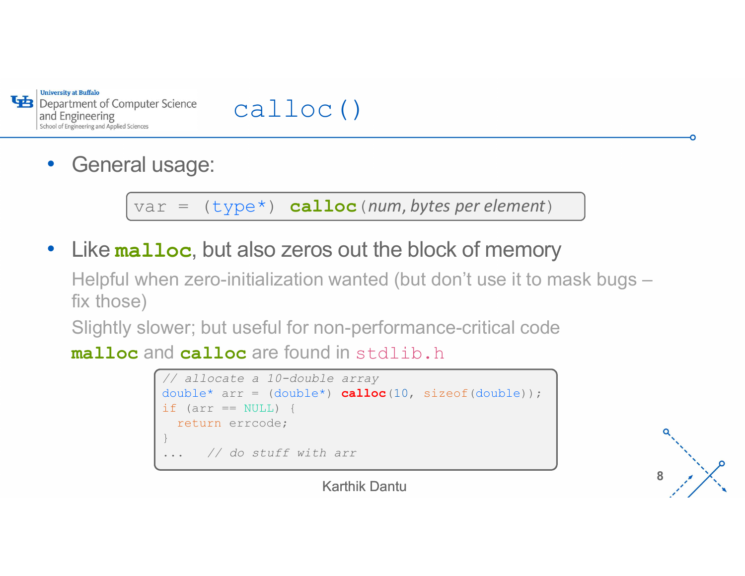

#### calloc()

• General usage:

• Like malloc, but also zeros out the block of memory

 $\overline{11}$  cuse it to it Helpful when zero-initialization wanted (but don't use it to mask bugs – fix those) puter Science calloc()<br>al usage:<br>var = (type\*) calloc (num, bytes per element)<br>alloc, but also zeros out the block of memory<br>when zero-initialization wanted (but don't use it to mask bugs –

Slightly slower; but useful for non-performance-critical code

malloc and calloc are found in stdlib.h



 $8 \times \times$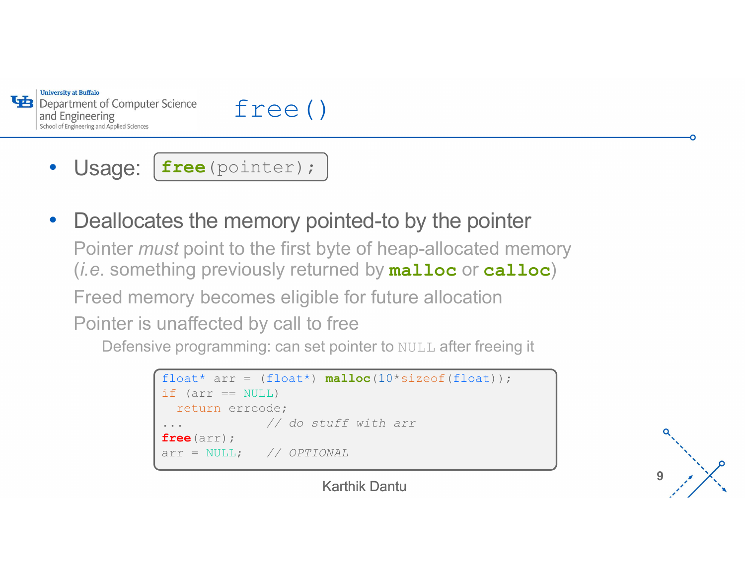



• Usage:  $\left[ \text{free}\left( \text{pointer}\right) : \right]$ 

• Deallocates the memory pointed-to by the pointer

Pointer *must* point to the first byte of heap-allocated memory (*i.e.* something previously returned by **malloc** or **calloc**)

n ation Freed memory becomes eligible for future allocation

Pointer is unaffected by call to free

Defensive programming: can set pointer to NULL after freeing it

```
free (pointer) ;<br>
es the memory pointed-to by the pointer<br>
st point to the first byte of heap-allocated memory<br>
hing previously returned by malloc or calloc)<br>
nory becomes eligible for future allocation<br>
unaffec
EXECUTE:<br>
EXECUTE:<br>
EXECUTE:<br>
EXECUTE:<br>
EXECUTE:<br>
EXECUTE:<br>
EXECUTE:<br>
EXECUTE:<br>
EXECUTE:<br>
EXECUTE:<br>
EXECUTE:<br>
EXECUTE:<br>
EXECUTE:<br>
EXECUTE:<br>
EXECUTE:<br>
EXECUTE:<br>
EXECUTE:<br>
EXECUTE:<br>
EXEC
       return errcode;
                                                // do stuff with arr
free(arr);
nst point to the first byte of heap-allocated me<br>hing previously returned by malloc or call<br>nory becomes eligible for future allocation<br>unaffected by call to free<br>e programming: can set pointer to NULL after freeing<br>
```
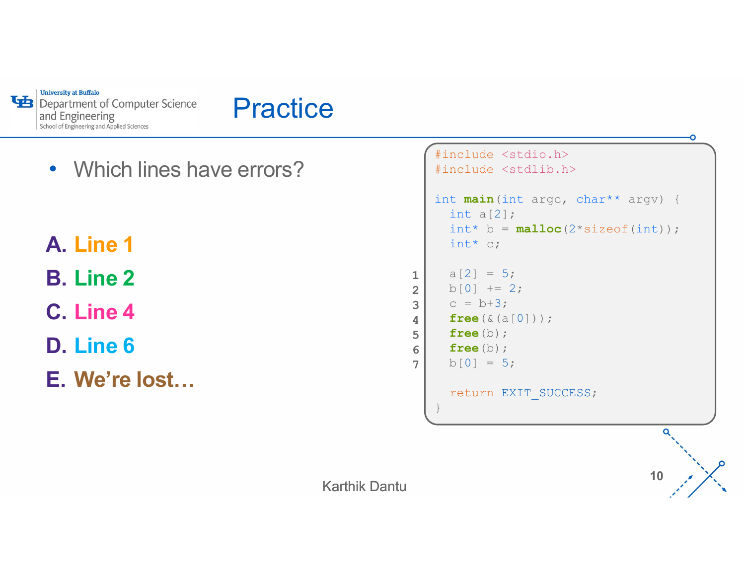

#### **Practice**

- Which lines have errors?
- A. Line 1
- B. Line 2
- C. Line 4
- D. Line 6
- E. We're lost…

```
#include <stdio.h>
   #include <stdlib.h>
   int main(int argc, char** argv) {
     int a[2];
     int^* b = \text{malloc}(2 * sizeof(int));
     int* c;
1 a[2] = 5;
2 b[0] += 2;
3 \mid C = b + 3;\textbf{free}(\&\texttt{(a[0]}));
\text{free}\left(b\right);6 free (b); \int free (b); \int free (c) \int free (c) \int free (c) \int free (c) \int free (c) \int free (c) \int free (c) \int free (c) \int free (c) \int free (c) \int free (c) \int free (c) \int free (c) \int free (c
     b[0] = 5;return EXIT_SUCCESS;
   }
                                         \overline{a}
```
10  $\lambda$ 

7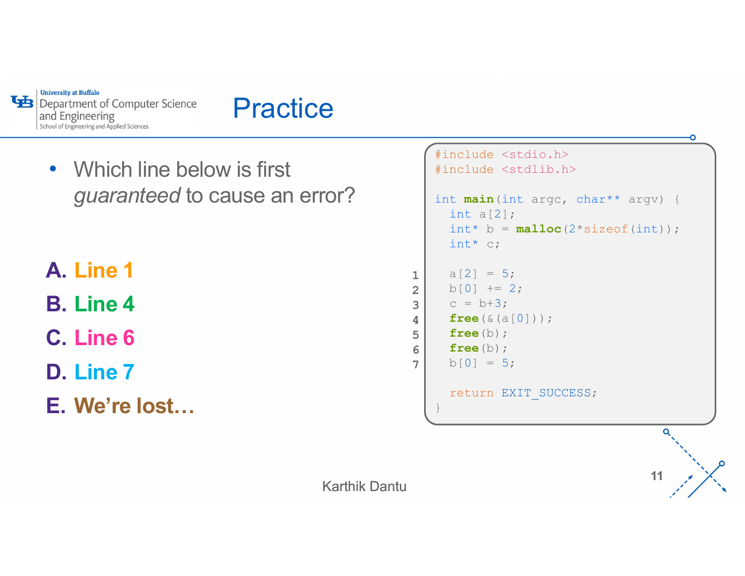

#### **Practice**

• Which line below is first guaranteed to cause an error?

#### A. Line 1

B. Line 4

C. Line 6

D. Line 7

E. We're lost…

```
2 b[0] += 2;
   #include <stdio.h>
   #include <stdlib.h>
   int main(int argc, char** argv) {
     int a[2];
     int^* b = \text{malloc}(2 * sizeof(int));
     int* c;
1 a[2] = 5;
3 \mid C = b + 3;\textbf{free}(\&\texttt{(a[0]}));
\text{free}\left(b\right);6 free (b); \int free (b); \int free (c) \int free (c) \int free (c) \int free (c) \int free (c) \int free (c) \int free (c) \int free (c) \int free (c) \int free (c) \int free (c) \int free (c) \int free (c) \int free (c
     b[0] = 5;return EXIT_SUCCESS;
   }
```
11  $\lambda$ 

7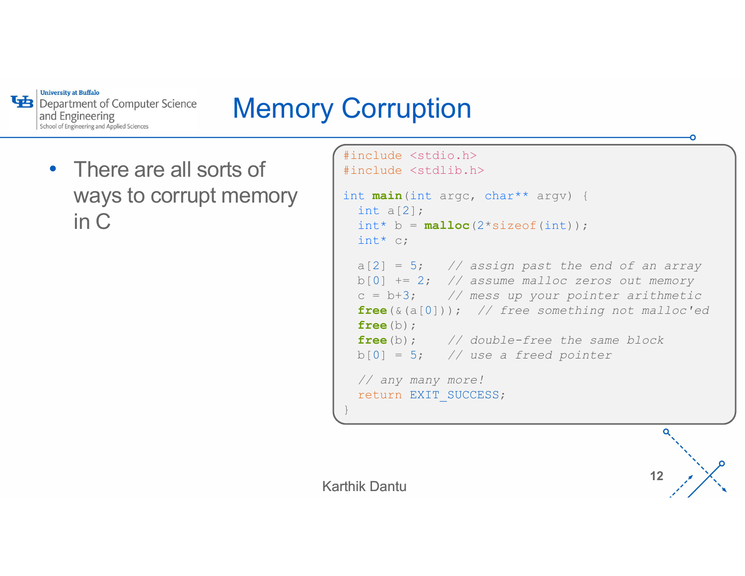

## Memory Corruption

• There are all sorts of ways to corrupt memory in C

```
'-
c = b+3; // mess up your pointer arithmetic
#include <stdio.h>
#include <stdlib.h>
int main(int argc, char** argv) {
 int a[2];
 int^* b = \text{malloc}(2*sizeof(int));int^* c;
 a[2] = 5; // assign past the end of an array
  b[0] += 2; // assume malloc zeros out memory
 free(\&(a[0])); // free something not malloc'ed
 free(b);
 free(b); // double-free the same block
 b[0] = 5; // use a freed pointer
 // any many more!
 return EXIT_SUCCESS;
}
```
12  $\lambda$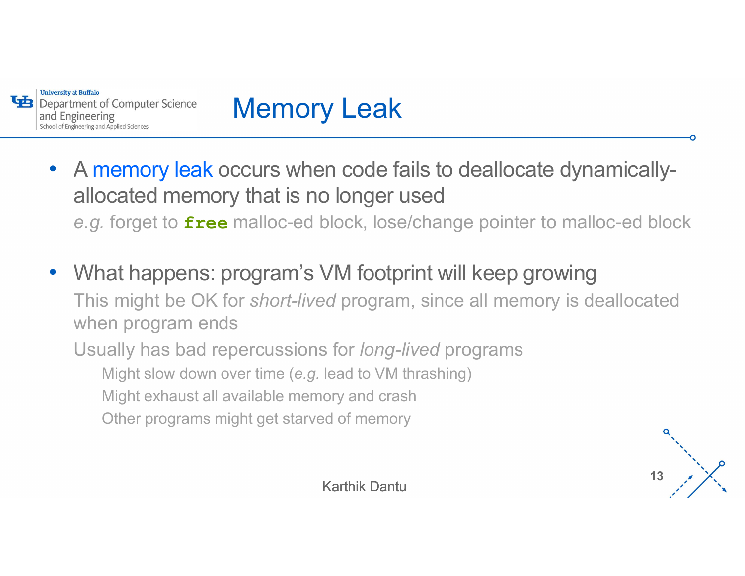

# Memory Leak

- A memory leak occurs when code fails to deallocate dynamicallyallocated memory that is no longer used e.g. for the formputer Science<br>
A memory leak occurs when code fails to deallocate dynamically-<br>
allocated memory that is no longer used<br>
e.g. forget to free malloc-ed block, lose/change pointer to malloc-ed block<br>
What ha
- ... . . . . . . <u>.</u>. 9. . . • What happens: program's VM footprint will keep growing This might be OK for short-lived program, since all memory is deallocated when program ends Usually has bad repercussions for long-lived programs
	- Might slow down over time (e.g. lead to VM thrashing)
	- Might exhaust all available memory and crash
	- Other programs might get starved of memory

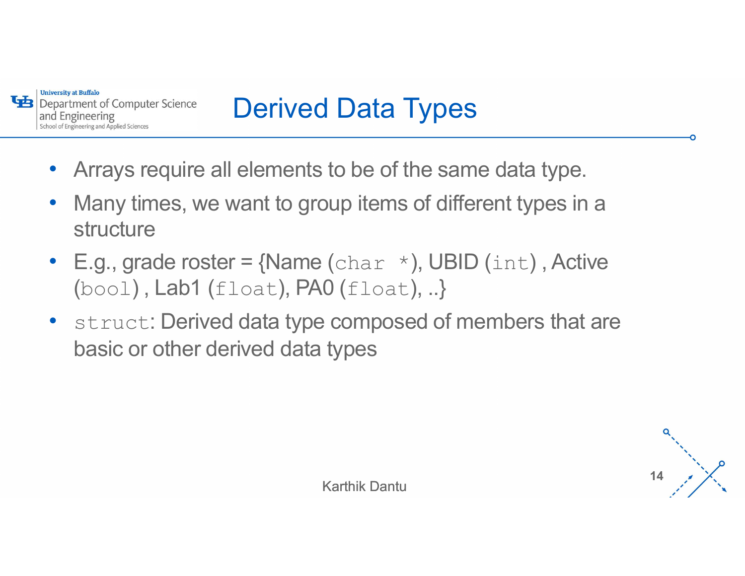

# Derived Data Types

- Arrays require all elements to be of the same data type.
- Many times, we want to group items of different types in a structure
- E.g., grade roster =  $\{Name\ (char *), UBID \ (int)$ , Active  $(bood)$ , Lab1 (float), PA0 (float), ..}
- struct: Derived data type composed of members that are basic or other derived data types

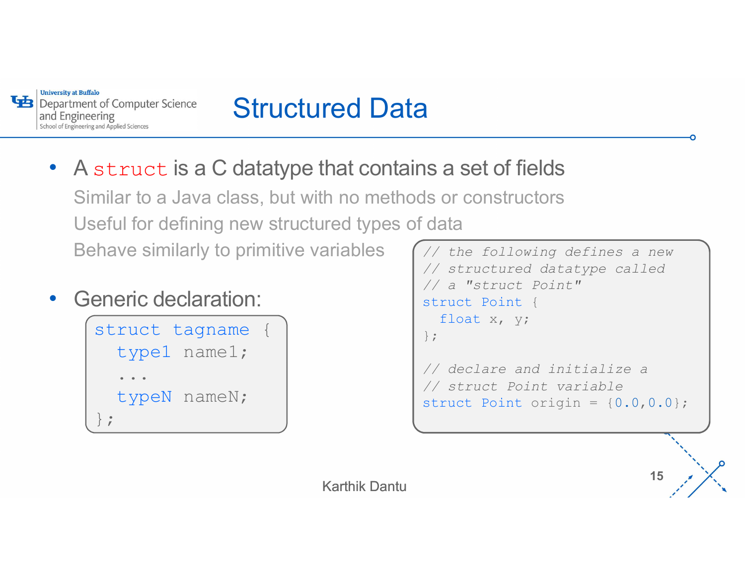

# Structured Data

- A struct is a C datatype that contains a set of fields Similar to a Java class, but with no methods or constructors Useful for defining new structured types of data Behave similarly to primitive variables Subseming Subseming Subseming Subseming Subseming Struct is a C datatype that contains a semilar to a Java class, but with no methods or contains a semilarly to primitive variables thave similarly to primitive variables  $\$
- Generic declaration:

```
type1 name1;
 ...
\}; \qquad \qquad
```

```
// a "struct Point"<br>struct Point {
typeN nameN; \left\{\frac{7}{3}\right\} struct Point variable<br>struct Point origin = {0.0,0.0};
                                                                                                                 // the following defines a new
                                                                                                               // structured datatype called
                                                                                                               )<br>
Sance of fields<br>
Sance of fields<br>
Sance of fields<br>
A the following defines a new<br>
A struct wont of s<br>
A a "struct Point"<br>
struct Point {<br>
float x, y;<br>
};<br>
<br>
A declare and initialize a
                                                                                                               structure of fields<br>
s or constructors<br>
data<br>
// the following defines a new<br>
// structured datatype called<br>
// a "struct Point"<br>
struct Rination (float x, y;<br>
};<br>
// declare and initialize a<br>
// struct Point variabl
                                                                                                                     float x, y;
                                                                                                               };
                                                                                                               // declare and initialize a 
                                                                                                               1S a Set of Tields<br>
So constructors<br>
data<br>
// the following defines a new<br>
// structured datatype called<br>
// a "struct Point"<br>
struct Point (float x, y;<br>
};<br>
// declare and initialize a<br>
// struct Point variable<br>
struct Po
                                                                                                               structured data the following defines a new that the following defines a new that the struct point "<br>
struct Point"<br>
struct Point (1901)<br>
struct Point (1904)<br>
1993)<br>
The struct Point variable struct Point origin = {0.0,0,
```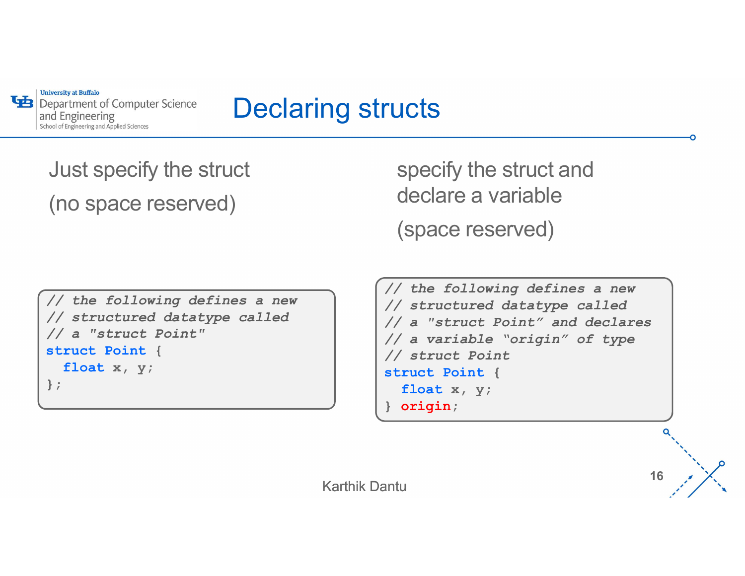

## Declaring structs

Just specify the struct (no space reserved)

specify the struct and declare a variable (space reserved)

```
// the following defines a new
// structured datatype called
Modeling metals and the struct specify<br>
(no space reserved) declare<br>
(space (space (space \frac{1}{2})<br>
(space \frac{1}{2})<br>
(space \frac{1}{2})<br>
(space \frac{1}{2})<br>
(space \frac{1}{2})<br>
(space \frac{1}{2})<br>
(space \frac{1}{2})<br>
(space
struct Point {
   float x, y;
};
```
// the following defines a new  $\bigcap$ // structured datatype called // a "struct Point" and declares // a variable "origin" of type // struct Point specify the struct and<br>declare a variable<br>(space reserved)<br>// the following defines a new<br>// structured datatype called<br>// a "struct Point" and declares<br>// a variable "origin" of type<br>// struct Point (<br>float x, y;<br>) origin float x, y; } origin;

16  $\frac{1}{2}$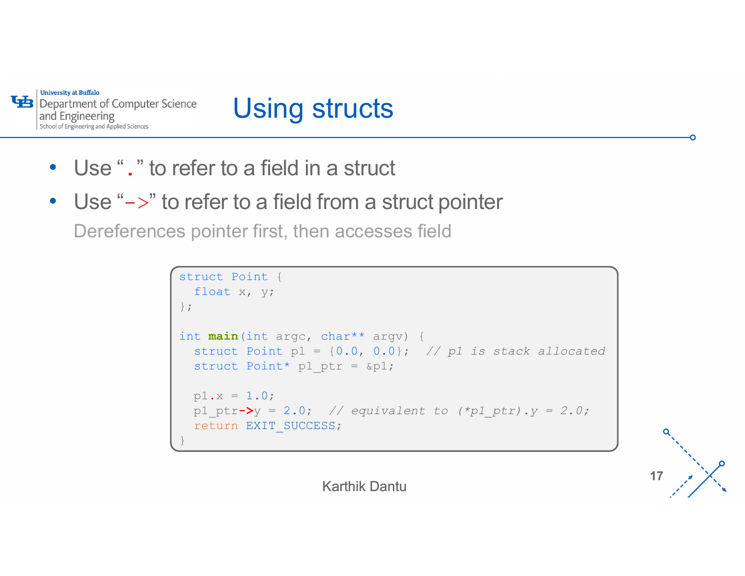

# Using structs

- Use "." to refer to a field in a struct
- Use "->" to refer to a field from a struct pointer

Dereferences pointer first, then accesses field

```
efer to a field in a struct<br>refer to a field in a struct<br>refer to a field from a struct pointer<br>s pointer first, then accesses field<br>struct Point (float x, y;<br>);<br>int main (int argc, char** argv) {<br>struct Point p1 = {0.0, 0
     float x, y;
};
int main(int argc, char** argv) {
      Struct Example 10 in a struct pointer<br>
struct Point first, then accesses field<br>
struct Point (<br>
struct Point p1 = {0.0, 0.0}; // p1 is stack allocated<br>
struct Point* p1_ptr = {p1;<br>
p1.x = 1.0;<br>
p1.yt=>y = 2.0; // e
      For to a field in a struct<br>
efer to a field from a struct pointer<br>
pointer first, then accesses field<br>
Truct Point {<br>
float x, y;<br>
t main (int argc, char** argv) {<br>
struct Point p1 = {0.0, 0.0}; // p1 is stack alloc<br>
struc
     p1.x = 1.0;p1 ptr-\triangleright y = 2.0; // equivalent to (*p1 ptr).y = 2.0;
     return EXIT_SUCCESS;
}
```
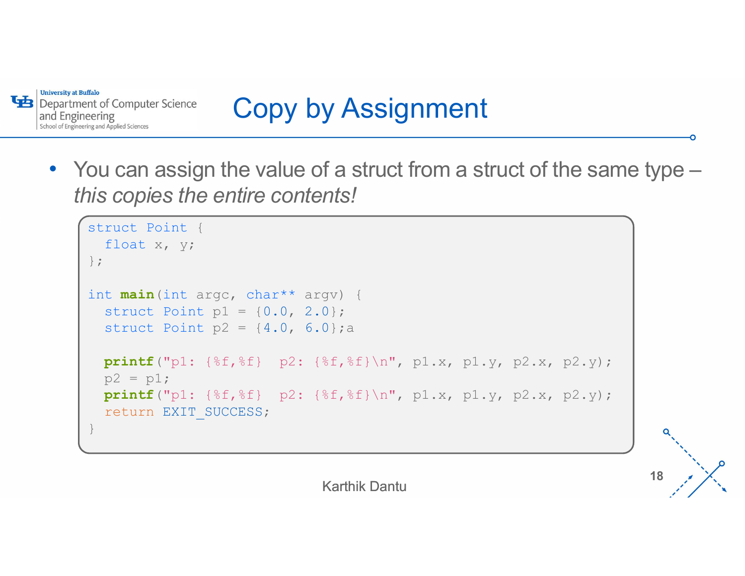

# Copy by Assignment

• You can assign the value of a struct from a struct of the same type – this copies the entire contents!

```
Finder of Computer Science<br>
ou can assign the value of a struct from<br>
inis copies the entire contents!<br>
struct Point {<br>
float x, y;<br>
};<br>
int main (int argc, char** argv) {<br>
struct Point n1 = {0,0,2,0}};
    float x, y;
};int main(int argc, char** argv) {
    Struct Point (Secondary 2001)<br>
Struct Point (Secondary 2001)<br>
Struct Point (Secondary 2001)<br>
Funct Point (Float x, y;<br>
t main (int arge, char** argv) {<br>
struct Point p1 = {0.0, 2.0};<br>
struct Point p2 = {4.0, 6.0};<br>
printf(
    struct Point p2 = \{4.0, 6.0\}; a
   printf("p1: {%f,%f} p2: {%f,%f}\n", p1.x, p1.y, p2.x, p2.y);
    p2 = p1;printf("p1: {f; f} p2: {f} f} \n", p1.x, p1.y, p2.x, p2.y);
    return EXIT_SUCCESS;
}
```
Karthik Dantu

18  $\frac{1}{2}$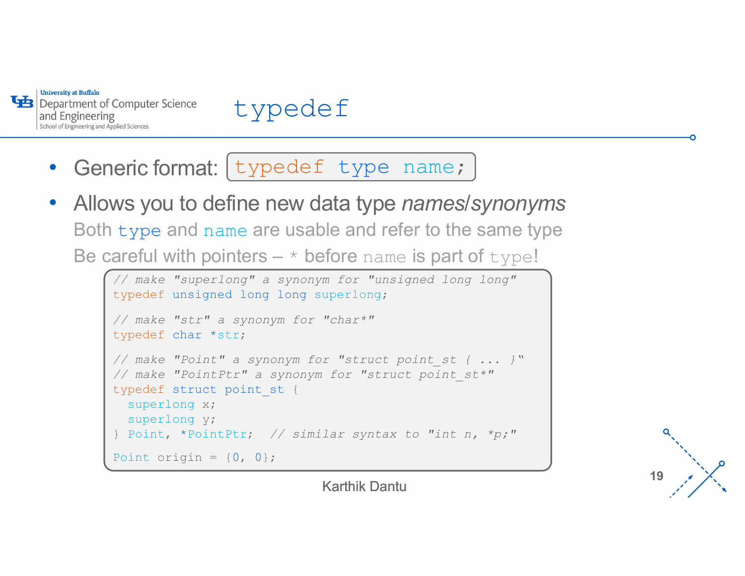



- Generic format: [typedef type name; ]
- Allows you to define new data type *names/synonyms* Both type and name are usable and refer to the same type Be careful with pointers  $*$  before name is part of  $type!$

```
'-
// make "superlong" a synonym for "unsigned long long"
typedef unsigned long long superlong;
// make "str" a synonym for "char*"
typedef char *str;
eric format: \frac{ypeed}{x} \frac{y直}{x} and \frac{y}{x} and \frac{y}{x} and \frac{y}{x} and \frac{y}{x} and \frac{y}{x} and \frac{y}{x} are \frac{y}{x} are \frac{y}{x} a synony for "same is part of \frac{y}{x} \frac{y}{x} \frac{y}{x} \frac{y}{x} \frac{eric format: \frac{ypeed}{x} type name;<br>
ws you to define new data type names/synonyms<br>
y = 0 and name are usable and refer to the same type<br>
\frac{y}{x} and name are usable and refer to the same type<br>
\frac{y}{x} are "superlong"
EXECTATE: CONTIFINITY CONTINUAL CONTINUAL CONTINUAL CONFINED MANUSE CONTINUES THE STRUCT AND A SUPPOSE THE STRUCT THANGER THANGER THANGER THANGER THANGER THANGER THANGER THANGER THANGER THANGER THANGER THANGER THANGER T
    superlong x;
    superlong y;
type and name are usable and refer to the same type<br>
areful with pointers - * before name is part of type!<br>
\frac{1}{\sqrt{m}} with pointers - * before name is part of type!<br>
\frac{1}{\sqrt{m}} with \frac{1}{\sqrt{m}} with \frac{1}{\sqrt{m}} a
Point origin = \{0, 0\};
```
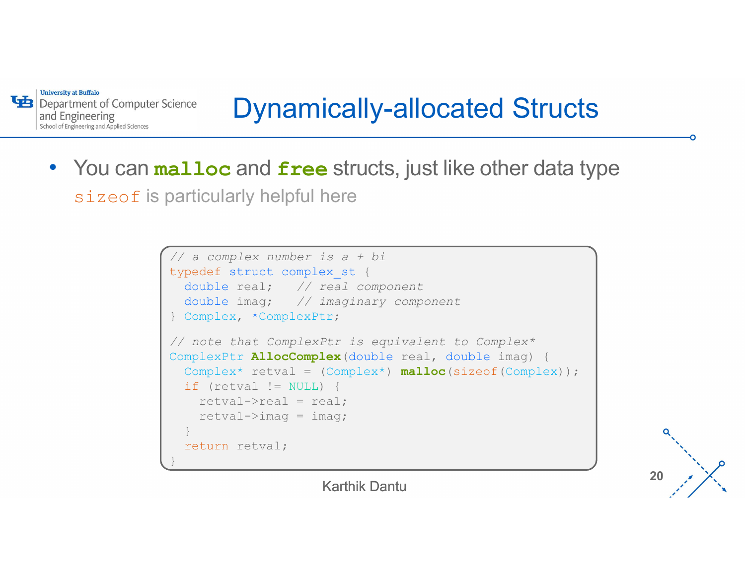**University at Buffalo** and Engineering School of Engineering and Applied Sciences

# Dynamically-allocated Structs

• You can malloc and free structs, just like other data type sizeof is particularly helpful here

```
// a complex number is a + bi
Sience<br>
Complete Struct Complex Complex Complex<br>
Complex and free structs, just like other data ty<br>
Darticularly helpful here<br>
<br>
Complex number is a + bi<br>
typedef struct complex st {<br>
double real; // real component<br>

     double real; // real component
     double imag; // imaginary component
} Complex, *ComplexPtr;
alloc and free structs, just like other data type<br>
particularly helpful here<br>
// a complex number is a + bi<br>
typedef struct complex st (<br>
double real; // real component<br>
double imag; // imaginary component<br>
} Complex, *
ComplexPtr AllocComplex (double real, double imag) {
     lloc and free structs, just like other data type<br>
rticularly helpful here<br>
<br>
a complex number is a + bi<br>
pedef struct complex is (<br>
double imag; // imaginary component<br>
complex, *ComplexPtr is equivalent to Complex*<br>
r
     lloc and free Structs, just like other data<br>
rticularly helpful here<br>
racomplex number is a + bi<br>
pedef struct complex_st {<br>
double imag; // real component<br>
complex, *ComplexPtr;<br>
note that ComplexPtr is equivalent to Co
          retval->real = real;
           CUIATIY NelpTUI Nere<br>
complex number is a + bi<br>
def struct complex st (<br>
while real; // real component<br>
while imag; // imaginary component<br>
mplex, *ComplexPtr;<br>
ote that ComplexPtr is equivalent to Complex*<br>
lexPtr AllocC
     }
     return retval;
}
```
20  $\lambda$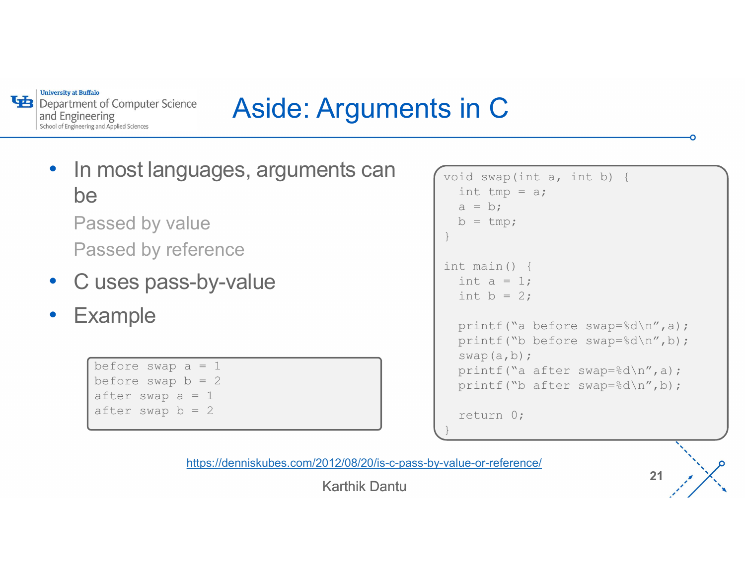**University at Buffalo** Department of Computer Science and Engineering School of Engineering and Applied Sciences

# Aside: Arguments in C

• In most languages, arguments can restain that the state of the Manus of the Manus of the Manus of the Manus of the Manus of the Manus of the Manus of the Manus of the Manus of the Manus of the Manus of the Manus of the M be a series of the series of the series of the series of the series of the series of the series of the series of the series of the series of the series of the series of the series of the series of the series of the series Passed by value

Passed by reference

- C uses pass-by-value
- **Example**

before swap  $a = 1$ before swap  $b = 2$ after swap  $a = 1$ after swap  $b = 2$ 

```
int a = 1;<br>int b = 2;
\begin{array}{ccc}\n\text{void swap(int a, int b)} & \text{if} \\
\text{int tmp = a;} \\
a = b; \\
b = tmp;\n\end{array}\begin{array}{c}\n\text{in } \mathbb{C} \\
\text{if } \begin{aligned}\n\text{if } \begin{aligned}\n\text{if } \begin{aligned}\n\text{if } \begin{aligned}\n\text{if } \begin{aligned}\n\text{if } \begin{aligned}\n\text{if } \begin{aligned}\n\text{if } \begin{aligned}\n\text{if } \begin{aligned}\n\text{if } \begin{aligned}\n\text{if } \begin{aligned}\n\text{if } \begin{aligned}\n\text{if } \begin{aligned}\n\text{if } \begin{aligned}\n\text{if } \begin{aligned}\n\text{if } \begin{aligned}\n\text{if } \begin{aligned}\n\text{if } \begin{aligned}\n\texta = b;
      b = tmp;}
Since \begin{bmatrix} \n\text{vi} & \text{iv} & \text{iv} \\ \n\text{vi} & \text{iv} & \text{v} & \text{iv} \\ \n\text{iv} & \text{v} & \text{v} & \text{iv} \\ \n\text{iv} & \text{v} & \text{v} & \text{v} \\ \n\text{iv} & \text{v} & \text{v} & \text{v} \\ \n\text{iv} & \text{v} & \text{v} & \text{v} \\ \n\text{iv} & \text{v} & \text{v} & \text{v} \\ \n\text{v} & \text{v} & \text{v} & \text{v} \\ \n\text{vid swap (int a, int b) {<br>
int tmp = a;<br>
a = b;<br>
b = tmp;<br>
t main () {<br>
int a = 1;<br>
int b = 2;<br>
printf ("a before swap=%d\n",a);<br>
printf ("b before swap=%d\n",b);<br>
swap(a,b);
       id swap (int a, int b) {<br>
int tmp = a;<br>
a = b;<br>
b = tmp;<br>
t main () {<br>
int a = 1;<br>
int b = 2;<br>
printf ("a before swap=%d\n",a);<br>
printf ("b before swap=%d\n",b);<br>
swap(a,b);<br>
printf ("a after swap=%d\n",a);<br>
printf ("a af
      printf("a before swap=%d\n",a);
      printf("b before swap=%d\n",b);
      swap(a,b);
      printf("a after swap=%d\n",a);
      printf("b after swap=%d\n",b);
      return 0;
}
```
https://denniskubes.com/2012/08/20/is-c-pass-by-value-or-reference/

Karthik Dantu

21  $\frac{1}{2}$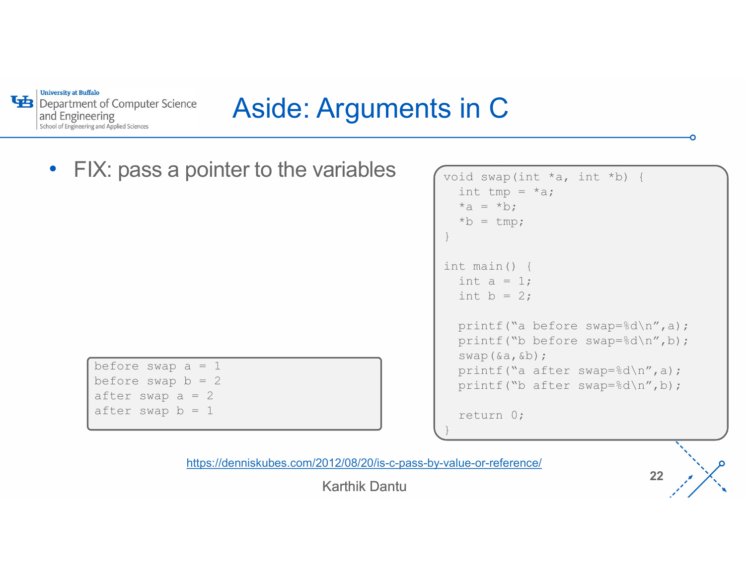**University at Buffalo** Department of Computer Science and Engineering School of Engineering and Applied Sciences

# Aside: Arguments in C

FIX: pass a pointer to the variables  $\sqrt{\frac{1}{\text{void swap(int } *a, int *b) + 1}}$ 

before swap  $a = 1$ before swap  $b = 2$ after swap  $a = 2$ after swap  $b = 1$ 

```
int a = 1;<br>int b = 2;
Sin C<br>
void swap(int *a, int *b) {<br>
int tmp = *a;<br>
*a = *b;<br>
*b = tmp;<br>
}
     id swap (int *a, int *b) {<br>
int tmp = *a;<br>
*a = *b;<br>
*b = tmp;<br>
t main () {
    *_a = *b;
     *b = tmp;}
Since \begin{bmatrix} \n\text{vi} & \text{iv} & \text{iv} & \text{v} & \text{v} & \text{v} & \text{v} & \text{v} & \text{v} & \text{v} & \text{v} & \text{v} & \text{v} & \text{v} & \text{v} & \text{v} & \text{v} & \text{v} & \text{v} & \text{v} & \text{v} & \text{v} & \text{v} & \text{v} & \text{v} & \text{v} & \text{v} & \text{v} & \text{v} & \text{v} & \text{v} & \text{v} & \text{v} & \text{v} & \textid swap (int *a, int *b) {<br>
int tmp = *a;<br>
*a = *b;<br>
*b = tmp;<br>
t main () {<br>
int a = 1;<br>
int b = 2;<br>
printf ("a before swap=%d\n",a);<br>
printf ("b before swap=%d\n",b);<br>
swap (&a, &b);
     id swap (int *a, int *b) {<br>
int tmp = *a;<br>
*a = *b;<br>
*b = tmp;<br>
t main () {<br>
int a = 1;<br>
int b = 2;<br>
printf ("a before swap=%d\n",a);<br>
printf ("b before swap=%d\n",b);<br>
swap (&a, &b);<br>
printf ("a after swap=%d\n",a);
    printf("a before swap=%d\n",a);
    printf("b before swap=%d\n",b);
    swap(&a,&b);
    printf("a after swap=%d\n",a);
    printf("b after swap=%d\n",b);
    return 0;
}
```
https://denniskubes.com/2012/08/20/is-c-pass-by-value-or-reference/

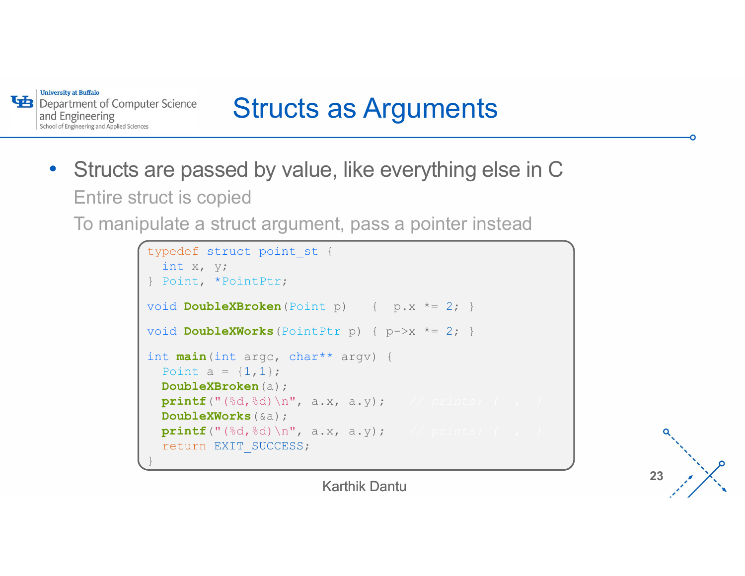

# Structs as Arguments

• Structs are passed by value, like everything else in C Entire struct is copied

To manipulate a struct argument, pass a pointer instead

```
ter Science<br>
Structs as Arguments<br>
are passed by value, like everything else in C<br>
uct is copied<br>
ulate a struct argument, pass a pointer instead<br>
typedef struct point st {<br>
int x, y;<br>
} Point, *PointPtr;<br>
yoid DoubleXBr
    int x, y;
} Point, *PointPtr;
ter Science<br>
Structs as Arguments<br>
are passed by value, like everything else in C<br>
uct is copied<br>
ulate a struct argument, pass a pointer instead<br>
typedef struct point st (<br>
int x, y;<br>
Point, *PointPtr;<br>
void DoubleXBroken
void DoubleXWorks (PointPtr p) { p->x^*=2; }
int main(int argc, char** argv) {
    Point a = \{1, 1\};
    DoubleXBroken(a);
    printf("(\sqrt{8d}, \sqrt{8d}) \n\pi", a.x, a.y);
    DoubleXWorks(&a);
    printf("(\text{ad}, \text{ad}) \n\wedge \text{a.x, a.y});return EXIT_SUCCESS;
}
```
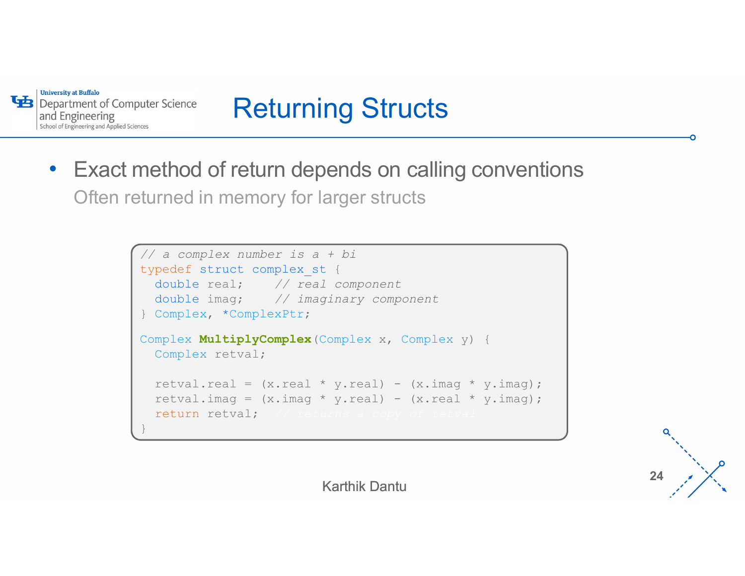

# Returning Structs

• Exact method of return depends on calling conventions Often returned in memory for larger structs

```
// a complex number is a + bi
typedef struct complex_st {
   double real; // real component
   double imag; // imaginary component
} Complex, *ComplexPtr;
Complex MultiplyComplex(Complex x, Complex y) {
   Complex retval;
   ethod of return depends on calling conventions<br>
rmed in memory for larger structs<br>
<br>
<br>
pedef struct complex, \frac{1}{2}, \frac{1}{2} are component<br>
<br>
<br>
double real; //real component<br>
<br>
Complex, *ComplexPter;<br>

<br>
complex, *Com
   return and provide in the standard complex and the complex number is a + bi<br>
pedef struct complex st (<br>
double real; // imaginary component<br>
double imag; // imaginary component<br>
Complex, *ComplexPtr;<br>
mplex MultiplyComple
   return retval;
}
```
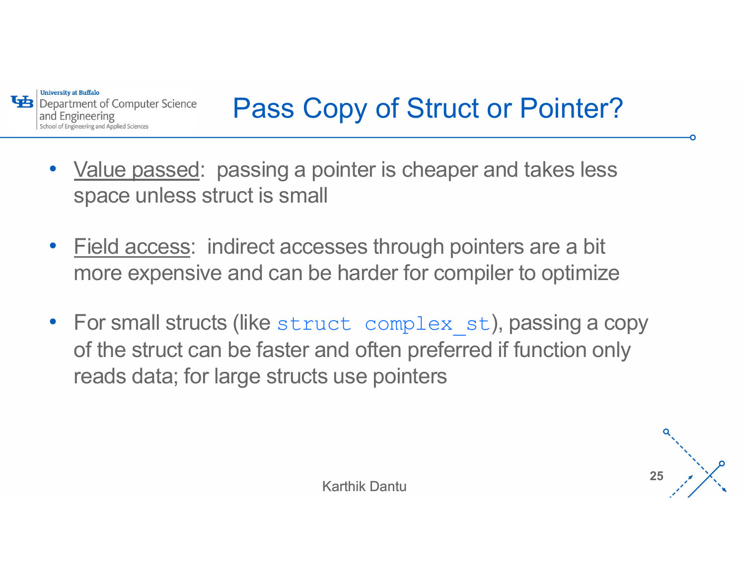

# Pass Copy of Struct or Pointer?

- Value passed: passing a pointer is cheaper and takes less space unless struct is small
- '- <u>Field access</u>: indirect accesses through pointers are a bit more expensive and can be harder for compiler to optimize
- For small structs (like struct complex st), passing a copy of the struct can be faster and often preferred if function only reads data; for large structs use pointers

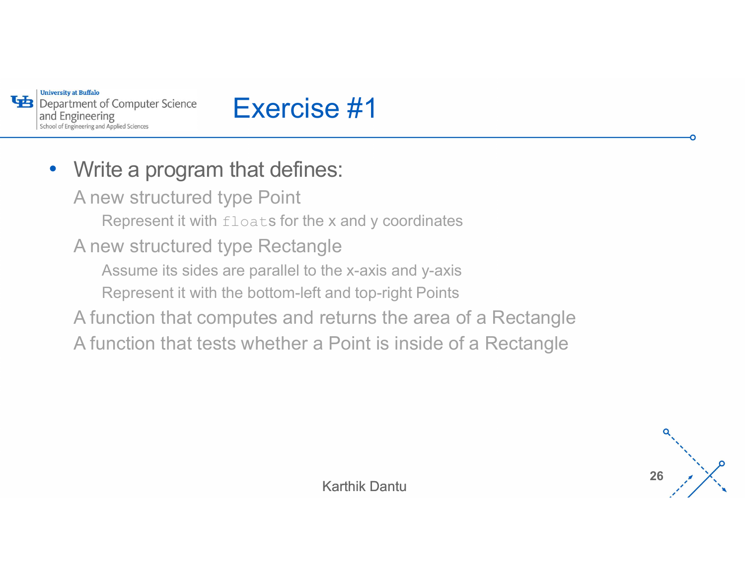

# Exercise #1

#### • Write a program that defines:

A new structured type Point

Represent it with floats for the x and y coordinates

A new structured type Rectangle

Assume its sides are parallel to the x-axis and y-axis

 $\mathsf{S}$ Represent it with the bottom-left and top-right Points

- A function that computes and returns the area of a Rectangle
- A function that tests whether a Point is inside of a Rectangle